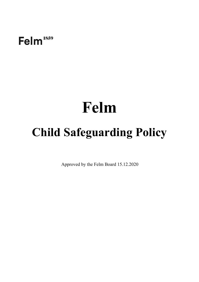Felm<sup>1859</sup>

# **Felm**

## **Child Safeguarding Policy**

Approved by the Felm Board 15.12.2020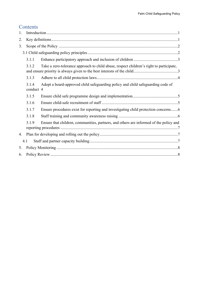## **Contents**

| 1.  |                    |                                                                                         |  |  |  |  |
|-----|--------------------|-----------------------------------------------------------------------------------------|--|--|--|--|
| 2.  |                    |                                                                                         |  |  |  |  |
| 3.  |                    |                                                                                         |  |  |  |  |
|     |                    |                                                                                         |  |  |  |  |
|     | 3.1.1              |                                                                                         |  |  |  |  |
|     | 3.1.2              | Take a zero-tolerance approach to child abuse, respect children's right to participate, |  |  |  |  |
|     | 3.1.3              |                                                                                         |  |  |  |  |
|     | 3.1.4<br>conduct 4 | Adopt a board-approved child safeguarding policy and child safeguarding code of         |  |  |  |  |
|     | 3.1.5              |                                                                                         |  |  |  |  |
|     | 3.1.6              |                                                                                         |  |  |  |  |
|     | 3.1.7              | Ensure procedures exist for reporting and investigating child protection concerns6      |  |  |  |  |
|     | 3.1.8              |                                                                                         |  |  |  |  |
|     | 3.1.9              | Ensure that children, communities, partners, and others are informed of the policy and  |  |  |  |  |
| 4.  |                    |                                                                                         |  |  |  |  |
| 4.1 |                    |                                                                                         |  |  |  |  |
| 5.  |                    |                                                                                         |  |  |  |  |
| 6.  |                    |                                                                                         |  |  |  |  |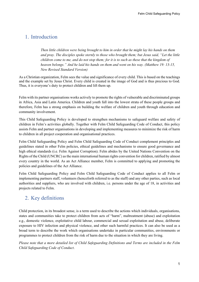## <span id="page-2-0"></span>1. Introduction

*Then little children were being brought to him in order that he might lay his hands on them and pray. The disciples spoke sternly to those who brought them; but Jesus said, "Let the little children come to me, and do not stop them; for it is to such as these that the kingdom of heaven belongs." And he laid his hands on them and went on his way. (Matthew 19: 13-15, New Revised Standard Version)*

As a Christian organization, Felm sees the value and significance of every child. This is based on the teachings and the example set by Jesus Christ. Every child is created in the image of God and is thus precious to God. Thus, it is everyone's duty to protect children and lift them up.

Felm with its partner organisations works actively to promote the rights of vulnerable and discriminated groups in Africa, Asia and Latin America. Children and youth fall into the lowest strata of these people groups and therefore, Felm has a strong emphasis on building the welfare of children and youth through education and community involvement.

This Child Safeguarding Policy is developed to strengthen mechanisms to safeguard welfare and safety of children in Felm's activities globally. Together with Felm Child Safeguarding Code of Conduct, this policy assists Felm and partner organisations in developing and implementing measures to minimize the risk of harm to children in all project cooperation and organisational practices.

Felm Child Safeguarding Policy and Felm Child Safeguarding Code of Conduct complement principles and guidelines stated in other Felm policies, ethical guidelines and mechanisms to ensure good governance and high ethical standards (i.e. Felm Against Corruption). Felm abides by the United Nations Convention on the Rights of the Child (UNCRC) as the main international human rights convention for children, ratified by almost every country in the world. As an Act Alliance member, Felm is committed to applying and promoting the policies and guidelines of the Act Alliance.

Felm Child Safeguarding Policy and Felm Child Safeguarding Code of Conduct applies to all Felm or implementing partners staff, volunteers (henceforth referred to as the staff) and any other parties, such as local authorities and suppliers, who are involved with children, i.e. persons under the age of 18, in activities and projects related to Felm.

## <span id="page-2-1"></span>2. Key definitions

Child protection, in its broadest sense, is a term used to describe the actions which individuals, organisations, states and communities take to protect children from acts of "harm", maltreatment (abuse) and exploitation e.g., domestic violence, exploitative child labour, commercial and sexual exploitation and abuse, deliberate exposure to HIV infection and physical violence, and other such harmful practices. It can also be used as a broad term to describe the work which organisations undertake in particular communities, environments or programmes to protect children from the risk of harm due to the situation in which they are living.

*Please note that a more detailed list of Child Safeguarding Definitions and Terms are included in the Felm Child Safeguarding Code of Conduct*.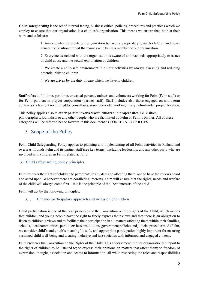**Child safeguarding** is the set of internal facing, business critical policies, procedures and practices which we employ to ensure that our organisation is a child safe organisation. This means we ensure that, both at their work and at leisure:

> 1. Anyone who represents our organisation behaves appropriately towards children and never abuses the position of trust that comes with being a member of our organisation.

> 2. Everyone associated with the organisation is aware of and responds appropriately to issues of child abuse and the sexual exploitation of children.

> 3. We create a child-safe environment in all our activities by always assessing and reducing potential risks to children.

4. We are driven by the duty of care which we have to children.

**Staff** refers to full time, part time, or casual persons, trainees and volunteers working for Felm (Felm staff) or for Felm partners in project cooperation (partner staff). Staff includes also those engaged on short term contracts such as but not limited to: consultants, researchers etc. working in any Felm-funded project location.

This policy applies also to **other parties involved with children in project sites**, i.e. visitors, photographers, journalists or any other people who are facilitated by Felm or Felm's partner. All of these categories will be referred hence forward in this document as CONCERNED PARTIES.

## <span id="page-3-0"></span>3. Scope of the Policy

Felm Child Safeguarding Policy applies to planning and implementing of all Felm activities in Finland and overseas. It binds Felm and its partner staff (see key terms), including leadership, and any other party who are involved with children in Felm related activity.

## <span id="page-3-1"></span>3.1 Child safeguarding policy principles

Felm respects the rights of children to participate in any decision affecting them, and to have their views heard and acted upon. Whenever there are conflicting interests, Felm will ensure that the rights, needs and welfare of the child will always come first – this is the principle of the 'best interests of the child'.

Felm will act by the following principles:

#### <span id="page-3-2"></span>3.1.1 Enhance participatory approach and inclusion of children

Child participation is one of the core principles of the Convention on the Rights of the Child, which asserts that children and young people have the right to freely express their views and that there is an obligation to listen to children's views and to facilitate their participation in all matters affecting them within their families, schools, local communities, public services, institutions, government policies and judicial procedures. At Felm, we consider child's and youth's meaningful, safe, and appropriate participation highly important for ensuring sustained child well-being and creating inclusive and just societies with informed and engaged citizens.

Felm endorses the Convention on the Rights of the Child. This endorsement implies organisational support to the rights of children to be listened to; to express their opinions on matters that affect them; to freedom of expression, thought, association and access to information; all while respecting the roles and responsibilities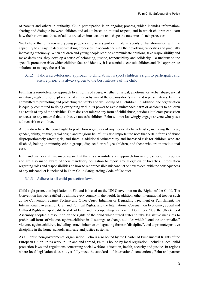of parents and others in authority. Child participation is an ongoing process, which includes informationsharing and dialogue between children and adults based on mutual respect, and in which children can learn how their views and those of adults are taken into account and shape the outcome of such processes.

We believe that children and young people can play a significant role as agents of transformation with the capability to engage in decision-making processes, in accordance with their evolving capacities and gradually increasing autonomy. When children and young people learn to communicate opinions, take responsibility and make decisions, they develop a sense of belonging, justice, responsibility and solidarity. To understand the specific protection risks which children face and identity, it is essential to consult children and find appropriate solutions to manage these risks.

## <span id="page-4-0"></span>3.1.2 Take a zero-tolerance approach to child abuse, respect children's right to participate, and ensure priority is always given to the best interests of the child

Felm has a zero-tolerance approach to all forms of abuse, whether physical, emotional or verbal abuse, sexual in nature, neglectful or exploitative of children by any of the organisation's staff and representatives. Felm is committed to promoting and protecting the safety and well-being of all children. In addition, the organisation is equally committed to doing everything within its power to avoid unintended harm or accidents to children as a result of any of the activities. Felm does not tolerate any form of child abuse, nor does it tolerate possession or access to any material that is abusive towards children. Felm will not knowingly engage anyone who poses a direct risk to children.

All children have the equal right to protection regardless of any personal characteristic, including their age, gender, ability, culture, racial origin and religious belief. It is also important to note that certain forms of abuse disproportionately affect girls, and there is additional vulnerability and increased risk for children who are disabled, belong to minority ethnic groups, displaced or refugee children, and those who are in institutional care.

Felm and partner staff are made aware that there is a zero-tolerance approach towards breaches of this policy and are also made aware of their mandatory obligation to report any allegation of breaches. Information regarding roles and responsibilities on how to report possible misconduct or how to deal with the consequences of any misconduct is included in Felm Child Safeguarding Code of Conduct.

## <span id="page-4-1"></span>3.1.3 Adhere to all child protection laws

Child right protection legislation in Finland is based on the UN Convention on the Rights of the Child. The Convention has been ratified by almost every country in the world. In addition, other international treaties such as the Convention against Torture and Other Cruel, Inhuman or Degrading Treatment or Punishment; the International Covenant on Civil and Political Rights; and the International Covenant on Economic, Social and Cultural Rights are applicable to staff of Felm and its cooperating partners. In December 2008, the UN General Assembly adopted a resolution on the rights of the child which urged states to take legislative measures to prohibit all forms of violence against children in all settings, to change attitudes which "condone or normalize" violence against children, including "cruel, inhuman or degrading forms of discipline", and to promote positive discipline in the home, schools, and care and justice systems.

As a Finnish non-governmental organisation, Felm is also bound by the Charter of Fundamental Rights of the European Union. In its work in Finland and abroad, Felm is bound by local legislation, including local child protection laws and regulations concerning social welfare, education, health, security and justice. In regions where local legislation does not yet fully meet the standards of international conventions, Felm and partner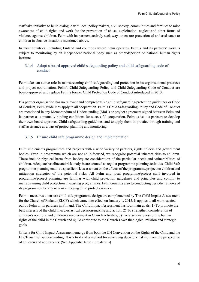staff take initiative to build dialogue with local policy makers, civil society, communities and families to raise awareness of child rights and work for the prevention of abuse, exploitation, neglect and other forms of violence against children. Felm with its partners actively seek ways to ensure protection of and assistance to children in abusive situations mentioned above.

In most countries, including Finland and countries where Felm operates, Felm's and its partners' work is subject to monitoring by an independent national body such as ombudsperson or national human rights institute.

## <span id="page-5-0"></span>3.1.4 Adopt a board-approved child safeguarding policy and child safeguarding code of conduct

Felm takes an active role in mainstreaming child safeguarding and protection in its organisational practices and project coordination. Felm's Child Safeguarding Policy and Child Safeguarding Code of Conduct are board-approved and replace Felm's former Child Protection Code of Conduct introduced in 2013.

If a partner organisation has no relevant and comprehensive child safeguarding/protection guidelines or Code of Conduct, Felm guidelines apply to all cooperation. Felm's Child Safeguarding Policy and Code of Conduct are mentioned in any Memorandum of Understanding (MoU) or project agreement signed between Felm and its partner as a mutually binding conditions for successful cooperation. Felm assists its partners to develop their own board-approved Child safeguarding guidelines and to apply them in practice through training and staff assistance as a part of project planning and monitoring.

## <span id="page-5-1"></span>3.1.5 Ensure child safe programme design and implementation

Felm implements programmes and projects with a wide variety of partners, rights holders and government bodies. Even in programme which are not child-focused, we recognise potential inherent risks to children. These include physical harm from inadequate consideration of the particular needs and vulnerabilities of children. Adequate baseline and risk analysis are counted as regular programme planning activities. Child Safe programme planning entails a specific risk assessment on the effects of the programme/project on children and mitigation strategies of the potential risks. All Felm and local programme/project staff involved in programme/project planning are familiar with child protection guidelines and principles and commit to mainstreaming child protection in existing programmes. Felm commits also to conducting periodic reviews of its programmes for any new or emerging child protection risks.

Felm's measures to ensure child-safe programme design are complemented by The Child Impact Assessment for the Church of Finland (ELCF) which came into effect on January 1, 2015. It applies to all work carried out by Felm or its partners in Finland. The Child Impact Assessment has four main goals: 1) To promote the best interests of the child in ecclesiastical decision-making and action, 2) To strengthen consideration of children's opinions and children's involvement in Church activities, 3) To raise awareness of the human rights of the child in the Church and 4) To contribute to the Church's own theological mission and strategic goals.

Criteria for Child Impact Assessment emerge from both the UN Convention on the Rights of the Child and the ELCF own self-understanding. It is a tool and a method for reviewing decision-making from the perspective of children and adolescents. (See Appendix 4 for more details)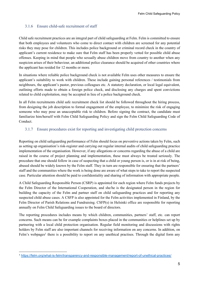## <span id="page-6-0"></span>3.1.6 Ensure child-safe recruitment of staff

Child safe recruitment practices are an integral part of child safeguarding at Felm. Felm is committed to ensure that both employees and volunteers who come to direct contact with children are screened for any potential risks they may pose for children. This includes police background or criminal record check in the country of applicant's current residence to make sure that Felm staff has been properly vetted for possible child abuse offenses. Keeping in mind that people who sexually abuse children move from country to another when any suspicion arises of their behaviour, an additional police clearance should be acquired of other countries where the applicant has resided for 12 months or more.

In situations where reliable police background check is not available Felm uses other measures to ensure the applicant's suitability to work with children. These include gaining personal references / testimonials from neighbours, the applicant's pastor, previous colleagues etc. A statutory declaration, or local legal equivalent, outlining efforts made to obtain a foreign police check, and disclosing any charges and spent convictions related to child exploitation, may be accepted in lieu of a police background check.

In all Felm recruitments child safe recruitment check list should be followed throughout the hiring process, from designing the job description to formal engagement of the employee, to minimize the risk of engaging someone who may pose an unacceptable risk to children. Before signing the contract, the candidate must familiarize him/herself with Felm Child Safeguarding Policy and sign the Felm Child Safeguarding Code of Conduct.

#### <span id="page-6-1"></span>3.1.7 Ensure procedures exist for reporting and investigating child protection concerns

Reporting on child safeguarding performance of Felm should focus on preventive actions taken by Felm, such as setting up organisation's risk-register and carrying out regular internal audits of child safeguarding practice implementation of the organisation. However, if any allegations or concerns regarding the abuse of a child are raised in the course of project planning and implementation, these must always be treated seriously. The procedure that one should follow in case of suspecting that a child or young person is, or is in at risk of being, abused should be widely known by the Felm staff. They in turn are responsible for ensuring that the partners' staff and the communities where the work is being done are aware of what steps to take to report the suspected case. Particular attention should be paid to confidentiality and sharing of information with appropriate people.

A Child Safeguarding Responsible Person (CSRP) is appointed for each region where Felm funds projects by the Felm Director of the International Cooperation, and she/he is the designated person in the region for building the capacity of the Felm and partner staff on child safeguarding practices and for reporting any suspected child abuse cases. A CSFP is also appointed for the Felm activities implemented in Finland, by the Felm Director of Parish Relations and Fundraising. CSFP(s) in Helsinki office are responsible for reporting annually on Felm Child Safeguarding issues to the board of directors.

The reporting procedures includes means by which children, communities, partners' staff, etc. can report concerns. Such means can be for example complaints boxes placed in the communities or helplines set up by partnering with a local child protection organisation. Regular field monitoring and discussions with rights holders by Felm staff are also important channels for receiving information on any concerns. In addition, on Felm's webpages<sup>1</sup> there is a possibility to report on any unethical practises. Through the digital form any

<sup>1</sup> <https://felm.org/what-is-felm/transparency-and-responsible-management/report-of-unethical-practices/>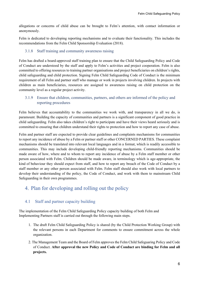allegations or concerns of child abuse can be brought to Felm's attention, with contact information or anonymously.

Felm is dedicated to developing reporting mechanisms and to evaluate their functionality. This includes the recommendations from the Felm Child Sponsorship Evaluation (2018).

#### <span id="page-7-0"></span>3.1.8 Staff training and community awareness raising

Felm has drafted a board-approved staff training plan to ensure that the Child Safeguarding Policy and Code of Conduct are understood by the staff and apply to Felm's activities and project cooperation. Felm is also committed to offering resources to training partner organisations and project beneficiaries on children's rights, child safeguarding and child protection. Signing Felm Child Safeguarding Code of Conduct is the minimum requirement of all Felm and partner staff who manage or work in projects involving children. In projects with children as main beneficiaries, resources are assigned to awareness raising on child protection on the community level as a regular project activity.

## <span id="page-7-1"></span>3.1.9 Ensure that children, communities, partners, and others are informed of the policy and reporting procedures

Felm believes that accountability to the communities we work with, and transparency in all we do, is paramount. Building the capacity of communities and partners is a significant component of good practice in child safeguarding. Felm also takes children's right to participate and have their views heard seriously and is committed to ensuring that children understand their rights to protection and how to report any case of abuse.

Felm and partner staff are expected to provide clear guidelines and complaints mechanisms for communities to report any incidence of abuse by a Felm or partner staff or other CONCERNED PARTIES. These complaint mechanisms should be translated into relevant local languages and in a format, which is readily accessible to communities. This may include developing child-friendly reporting mechanisms. Communities should be made aware of how, where and to whom to report any incidence of abuse by a Felm staff member or other person associated with Felm. Children should be made aware, in terminology which is age-appropriate, the kind of behaviour they should expect from staff, and how to report any breach of the Code of Conduct by a staff member or any other person associated with Felm. Felm staff should also work with local partners to develop their understanding of the policy, the Code of Conduct, and work with them to mainstream Child Safeguarding in their own programmes.

## <span id="page-7-2"></span>4. Plan for developing and rolling out the policy

## <span id="page-7-3"></span>4.1 Staff and partner capacity building

The implementation of the Felm Child Safeguarding Policy capacity building of both Felm and Implementing Partners staff is carried out through the following main steps.

- 1. The draft Felm Child Safeguarding Policy is shared (by the Child Protection Working Group) with the relevant persons in each Department for comments to ensure commitment across the whole organization.
- 2. The Management Team and the Board of Felm approves the Felm Child Safeguaring Policy and Code of Conduct. **After approval the new Policy and Code of Conduct are binding for Felm and all projects.**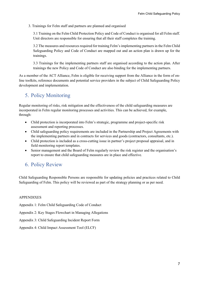3. Trainings for Felm staff and partners are planned and organised

3.1 Training on the Felm Child Protection Policy and Code of Conduct is organised for all Felm staff. Unit directors are responsible for ensuring that all their staff completes the training.

3.2 The measures and resources required for training Felm's implementing partners in the Felm Child Safeguarding Policy and Code of Conduct are mapped out and an action plan is drawn up for the trainings.

3.3 Trainings for the implementing partners staff are organised according to the action plan. After trainings the new Policy and Code of Conduct are also binding for the implementing partners.

As a member of the ACT Alliance, Felm is eligible for receiving support from the Alliance in the form of online toolkits, reference documents and potential service providers in the subject of Child Safeguarding Policy development and implementation.

## <span id="page-8-0"></span>5. Policy Monitoring

Regular monitoring of risks, risk mitigation and the effectiveness of the child safeguarding measures are incorporated in Felm regular monitoring processes and activities. This can be achieved, for example, through:

- Child protection is incorporated into Felm's strategic, programme and project-specific risk assessment and reporting processes.
- Child safeguarding policy requirements are included in the Partnership and Project Agreements with the implementing partners and in contracts for services and goods (contractors, consultants, etc.).
- Child protection is included as a cross-cutting issue in partner's project proposal appraisal, and in field monitoring report templates.
- Senior management and the Board of Felm regularly review the risk register and the organisation's report to ensure that child safeguarding measures are in place and effective.

## <span id="page-8-1"></span>6. Policy Review

Child Safeguarding Responsible Persons are responsible for updating policies and practices related to Child Safeguarding of Felm. This policy will be reviewed as part of the strategy planning or as per need.

## APPENDIXES

Appendix 1: Felm Child Safeguarding Code of Conduct

Appendix 2: Key Stages Flowchart in Managing Allegations

Appendix 3: Child Safeguarding Incident Report Form

Appendix 4: Child Impact Assessment Tool (ELCF)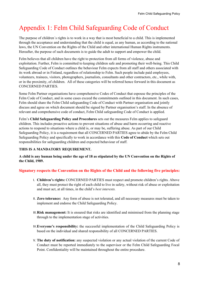## Appendix 1: Felm Child Safeguarding Code of Conduct

The purpose of children´s rights is to work in a way that is most beneficial to a child. This is implemented through the acceptance and understanding that the child is equal, as any human, as according to the national laws, the UN Convention on the Rights of the Child and other international Human Rights instruments. Hereafter, the purpose of such documents is to guide the adult to support and empower the child.

Felm believes that all children have the right to protection from all forms of violence, abuse and exploitation. Further, Felm is committed to keeping children safe and promoting their well-being. This Child Safeguarding Code of Conduct outlines the behaviour Felm expects from all staff and others associated with its work abroad or in Finland, regardless of relationship to Felm. Such people include paid employees, volunteers, trainees, visitors, photographers, journalists, consultants and other contractors, etc., while with, or in the proximity, of children. All of these categories will be referred hence forward in this document as CONCERNED PARTIES.

Some Felm Partner organisations have comprehensive Codes of Conduct that espouse the principles of the Felm Code of Conduct, and in some cases exceed the commitments outlined in this document. In such cases, Felm should share the Felm Child safeguarding Code of Conduct with Partner organisation and jointly discuss and agree on which document should be signed by Partner organisation's staff. In the absence of relevant and comprehensive code of conduct, Felm Child safeguarding Code of Conduct is applied.

Felm's **Child Safeguarding Policy and Procedures** sets out the measures Felm applies to safeguard children. This includes proactive actions to prevent situations of abuse and harm occurring and reactive actions to respond to situations where a child is, or may be, suffering abuse. As part of our Child Safeguarding Policy, it is a requirement that all CONCERNED PARTIES agree to abide by the Felm Child Safeguarding Policy and specifically to work in accordance with this **Code of Conduct** which sets out responsibilities for safeguarding children and expected behaviour of staff.

#### **THIS IS A MANDATORY REQUIREMENT.**

**A child is any human being under the age of 18 as stipulated by the UN Convention on the Rights of the Child, 1989.** 

## **Signatory respects the Convention on the Rights of the Child and the following five principles:**

- I. **Children's rights:** CONCERNED PARTIES must respect and promote children's rights. Above all, they must protect the right of each child to live in safety, without risk of abuse or exploitation and must act, at all times, in the child's *best interests.*
- II. **Zero tolerance:** Any form of abuse is not tolerated, and all necessary measures must be taken to implement and endorse the Child Safeguarding Policy.
- III.**Risk management:** It is ensured that risks are identified and minimised from the planning stage through to the implementation stage of activities.
- IV.**Everyone's responsibility:** the successful implementation of the Child Safeguarding Policy is based on the individual and shared responsibility of all CONCERNED PARTIES.
- V. **The duty of notification:** any suspected violation or any actual violation of the current Code of Conduct must be reported immediately to the supervisor or the Felm Child Safeguarding Focal Point. Confidentiality will be maintained throughout the entire procedure.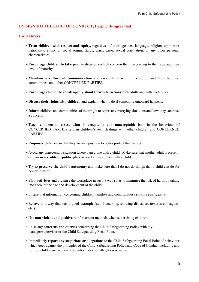## **BY SIGNING THE CODE OF CONDUCT, I explicitly agree that:**

#### **I will always:**

- •**Treat children with respect and equity,** regardless of their age, sex, language, religion, opinion or nationality, ethnic or social origin, status, class, caste, sexual orientation, or any other personal characteristics.
- •**Encourage children to take part in decisions** which concern them, according to their age and their level of maturity.
- **Maintain a culture of communication** and create trust with the children and their families, communities, and other CONCERNED PARTIES.
- •**Encourage** children to **speak openly about their interactions** with adults and with each other.
- **Discuss their rights with children** and explain what to do if something untoward happens.
- **Inform** children and communities of their right to report any worrying situations and how they can raise a concern.
- Teach **children to assess what is acceptable and unacceptable** both in the behaviour of CONCERNED PARTIES and in children's own dealings with other children and CONCERNED PARTIES.
- •**Empower children** so that they are in a position to better protect themselves.
- Avoid any unnecessary situation where I am alone with a child. Make sure that another adult is present, or I am **in a visible or public place** when I am in contact with a child.
- Try to **preserve the child's autonomy** and make sure that I do not do things that a child can do for herself/himself.
- **Plan activities** and organise the workplace in such a way so as to minimise the risk of harm by taking into account the age and development of the child.
- Ensure that information concerning children, families and communities **remains confidential.**
- •Behave in a way that sets a **good example** (avoid smoking, showing disrespect towards colleagues, etc.).
- Use **non-violent and positive** reinforcement methods when supervising children.
- •Raise any **concerns and queries** concerning the Child Safeguarding Policy with my manager/supervisor or the Child Safeguarding Focal Point.
- Immediately **report any suspicions or allegations** to the Child Safeguarding Focal Point of behaviour which goes against the principles of the Child Safeguarding Policy and Code of Conduct including any form of child abuse – even if the information or allegation is vague.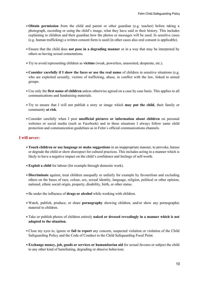- **Obtain permission** from the child and parent or other guardian (e.g. teacher) before taking a photograph, recording or using the child's image, what they have said or their history. This includes explaining to children and their guardian how the photos or messages will be used. In sensitive cases (e.g. human trafficking) a written consent form is used (in other cases also oral consent is applicable).
- Ensure that the child does **not pose in a degrading manner** or in a way that may be interpreted by others as having sexual connotations.
- Try to avoid representing children as **victims** (weak, powerless, unassisted, desperate, etc.).
- **Consider carefully if I show the faces or use the real name** of children in sensitive situations (e.g. who are exploited sexually, victims of trafficking, abuse, in conflict with the law, linked to armed groups.
- Use only the **first name of children** unless otherwise agreed on a case by case basis. This applies to all communications and fundraising materials.
- Try to ensure that I will not publish a story or image which **may put the child**, their family or community **at risk**.
- •Consider carefully when I post **unofficial pictures or information about children** on personal websites or social media (such as Facebook) and in these situations I always follow same child protection and communication guidelines as in Felm´s official communications channels.

#### **I will never:**

- •**Touch children or use language or make suggestions** in an inappropriate manner, to provoke, harass or degrade the child or show disrespect for cultural practices. This includes acting in a manner which is likely to have a negative impact on the child's confidence and feelings of self-worth.
- •**Exploit a child** for labour (for example through domestic work).
- **Discriminate** against, treat children unequally or unfairly for example by favouritism and excluding others on the bases of race, colour, sex, sexual identity, language, religion, political or other opinion, national, ethnic social origin, property, disability, birth, or other status.
- •Be under the influence of **drugs or alcohol** while working with children.
- Watch, publish, produce, or share **pornography** showing children, and/or show any pornographic material to children.
- Take or publish photos of children entirely **naked or dressed revealingly in a manner which is not adapted to the situation.**
- •Close my eyes to, ignore or **fail to report** any concern, suspected violation or violation of the Child Safeguarding Policy and the Code of Conduct to the Child Safeguarding Focal Point.
- •**Exchange money, job, goods or services or humanitarian aid** for sexual favours or subject the child to any other kind of humiliating, degrading or abusive behaviour.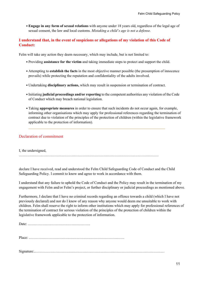•**Engage in any form of sexual relations** with anyone under 18 years old, regardless of the legal age of sexual consent, the law and local customs. *Mistaking a child's age is not a defense.*

## **I understand that, in the event of suspicions or allegations of my violation of this Code of Conduct:**

Felm will take any action they deem necessary, which may include, but is not limited to:

- Providing **assistance for the victim** and taking immediate steps to protect and support the child.
- Attempting to **establish the facts** in the most objective manner possible (the presumption of innocence prevails) while protecting the reputation and confidentiality of the adults involved.
- Undertaking **disciplinary actions,** which may result in suspension or termination of contract.
- Initiating **judicial proceedings and/or reporting** to the competent authorities any violation of the Code of Conduct which may breach national legislation.
- Taking **appropriate measures** in order to ensure that such incidents do not occur again, for example, informing other organisations which may apply for professional references regarding the termination of contract due to violation of the principles of the protection of children (within the legislative framework applicable to the protection of information).

## Declaration of commitment

I, the undersigned,

……………………………………………………………………………………………………

declare I have received, read and understood the Felm Child Safeguarding Code of Conduct and the Child Safeguarding Policy. I commit to know and agree to work in accordance with them.

I understand that any failure to uphold the Code of Conduct and the Policy may result in the termination of my engagement with Felm and/or Felm's project, or further disciplinary or judicial proceedings as mentioned above.

Furthermore, I declare that I have no criminal records regarding an offence towards a child (which I have not previously declared) and nor do I know of any reason why anyone would deem me unsuitable to work with children. Felm shall reserve the right to inform other institutions which may apply for professional references of the termination of contract for serious violation of the principles of the protection of children within the legislative framework applicable to the protection of information.

Date: ……………………………………………

Place: ……………………………………………………………………

Signature:..……………………………………………………………………………………………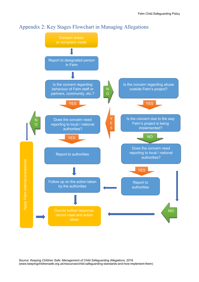

## Appendix 2: Key Stages Flowchart in Managing Allegations

Source: *Keeping Children Safe: Management of Child Safeguarding Allegations*, 2016 (www.keepingchildrensafe.org.uk/resources/child-safeguarding-standards-and-how-implement-them)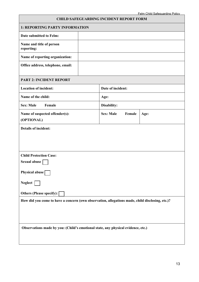|                                                                                                 |                   | <b>CHILD SAFEGUARDING INCIDENT REPORT FORM</b> |      | Felm Child Safeguarding Policy |  |  |  |
|-------------------------------------------------------------------------------------------------|-------------------|------------------------------------------------|------|--------------------------------|--|--|--|
| 1: REPORTING PARTY INFORMATION                                                                  |                   |                                                |      |                                |  |  |  |
| Date submitted to Felm:                                                                         |                   |                                                |      |                                |  |  |  |
| Name and title of person<br>reporting:                                                          |                   |                                                |      |                                |  |  |  |
| Name of reporting organization:                                                                 |                   |                                                |      |                                |  |  |  |
| Office address, telephone, email:                                                               |                   |                                                |      |                                |  |  |  |
| <b>PART 2: INCIDENT REPORT</b>                                                                  |                   |                                                |      |                                |  |  |  |
| <b>Location of incident:</b>                                                                    | Date of incident: |                                                |      |                                |  |  |  |
| Name of the child:                                                                              | Age:              |                                                |      |                                |  |  |  |
| <b>Sex: Male</b><br>Female                                                                      | Disability:       |                                                |      |                                |  |  |  |
| Name of suspected offender(s):<br>(OPTIONAL)                                                    | <b>Sex: Male</b>  | Female                                         | Age: |                                |  |  |  |
| <b>Details of incident:</b>                                                                     |                   |                                                |      |                                |  |  |  |
| <b>Child Protection Case:</b>                                                                   |                   |                                                |      |                                |  |  |  |
| Sexual abuse                                                                                    |                   |                                                |      |                                |  |  |  |
| Physical abuse                                                                                  |                   |                                                |      |                                |  |  |  |
| Neglect                                                                                         |                   |                                                |      |                                |  |  |  |
| Others (Please specify): [                                                                      |                   |                                                |      |                                |  |  |  |
| How did you come to have a concern (own observation, allegations made, child disclosing, etc.)? |                   |                                                |      |                                |  |  |  |
| Observations made by you: (Child's emotional state, any physical evidence, etc.)                |                   |                                                |      |                                |  |  |  |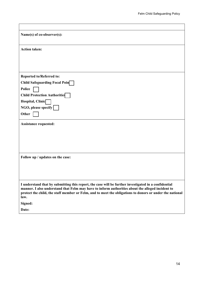| Name(s) of co-observer(s):                                                                                                                                                                                                                                                                                                   |
|------------------------------------------------------------------------------------------------------------------------------------------------------------------------------------------------------------------------------------------------------------------------------------------------------------------------------|
| <b>Action taken:</b>                                                                                                                                                                                                                                                                                                         |
|                                                                                                                                                                                                                                                                                                                              |
|                                                                                                                                                                                                                                                                                                                              |
| <b>Reported to/Referred to:</b>                                                                                                                                                                                                                                                                                              |
| <b>Child Safeguarding Focal Poin</b>                                                                                                                                                                                                                                                                                         |
| Police                                                                                                                                                                                                                                                                                                                       |
| <b>Child Protection Authorities</b>                                                                                                                                                                                                                                                                                          |
| Hospital, Clinic                                                                                                                                                                                                                                                                                                             |
| NGO, please specify                                                                                                                                                                                                                                                                                                          |
| Other                                                                                                                                                                                                                                                                                                                        |
| <b>Assistance requested:</b>                                                                                                                                                                                                                                                                                                 |
|                                                                                                                                                                                                                                                                                                                              |
|                                                                                                                                                                                                                                                                                                                              |
|                                                                                                                                                                                                                                                                                                                              |
|                                                                                                                                                                                                                                                                                                                              |
| Follow up / updates on the case:                                                                                                                                                                                                                                                                                             |
|                                                                                                                                                                                                                                                                                                                              |
|                                                                                                                                                                                                                                                                                                                              |
|                                                                                                                                                                                                                                                                                                                              |
| I understand that by submitting this report, the case will be further investigated in a confidential<br>manner. I also understand that Felm may have to inform authorities about the alleged incident to<br>protect the child, the staff member or Felm, and to meet the obligations to donors or under the national<br>law. |
| Signed:                                                                                                                                                                                                                                                                                                                      |
| Date:                                                                                                                                                                                                                                                                                                                        |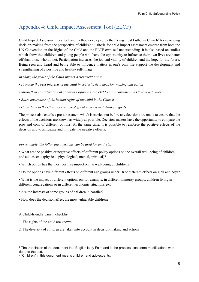## Appendix 4: Child Impact Assessment Tool (ELCF)

Child Impact Assessment is a tool and method developed by the Evangelical Lutheran Church<sup>2</sup> for reviewing decision-making from the perspective of children<sup>3</sup>. Criteria for child impact assessment emerge from both the UN Convention on the Rights of the Child and the ELCF own self-understanding. It is also based on studies which show that children and young people who have the opportunity to influence their own lives are better off than those who do not. Participation increases the joy and vitality of children and the hope for the future. Being seen and heard and being able to influence matters in one's own life support the development and strengthening of a positive and healthy self-image.

*In short, the goals of the Child Impact Assessment are to:*

- *Promote the best interests of the child in ecclesiastical decision-making and action*
- *Strengthen consideration of children's opinions and children's involvement in Church activities*
- *Raise awareness of the human rights of the child in the Church*
- *Contribute to the Church's own theological mission and strategic goals*

The process also entails a pre-assessment which is carried out before any decisions are made to ensure that the effects of the decisions are known as widely as possible. Decision-makers have the opportunity to compare the pros and cons of different options. At the same time, it is possible to reinforce the positive effects of the decision and to anticipate and mitigate the negative effects.

#### *For example, the following questions can be used for analysis:*

• What are the positive or negative effects of different policy options on the overall well-being of children and adolescents (physical, phycological, mental, spiritual)?

- Which option has the most positive impact on the well-being of children?
- Do the options have different effects on different age groups under 18 or different effects on girls and boys?
- What is the impact of different options on, for example, in different minority groups, children living in different congregations or in different economic situations etc?
- Are the interests of some groups of children in conflict?
- How does the decision affect the most vulnerable children?

#### A Child-friendly parish, checklist

- 1. The rights of the child are known
- 2. The diversity of children are taken into account in decision-making and actions

 $^{\rm 2}$  The translation of the document into English is by Felm and in the process also some modifications were done to the text.

<sup>3</sup> "Children" in this document means children and adolescents.